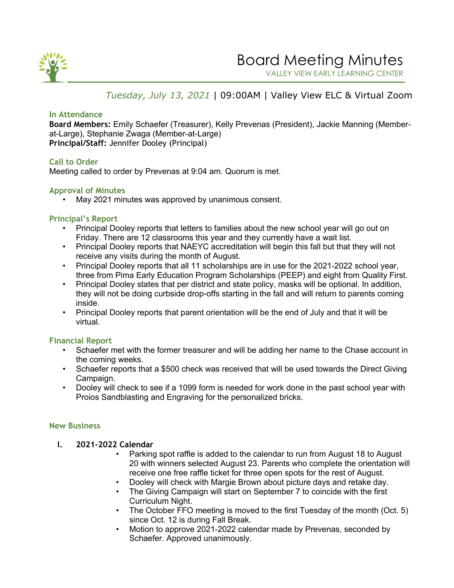

VALLEY VIEW EARLY LEARNING CENTER

FAMILY FACULTY ORGANIZATION

# *Tuesday, July 13, 2021* | 09:00AM | Valley View ELC & Virtual Zoom

### **In Attendance**

**Board Members:** Emily Schaefer (Treasurer), Kelly Prevenas (President), Jackie Manning (Memberat-Large), Stephanie Zwaga (Member-at-Large) **Principal/Staff:** Jennifer Dooley (Principal)

## **Call to Order**

Meeting called to order by Prevenas at 9:04 am. Quorum is met.

## **Approval of Minutes**

May 2021 minutes was approved by unanimous consent.

#### **Principal's Report**

- Principal Dooley reports that letters to families about the new school year will go out on Friday. There are 12 classrooms this year and they currently have a wait list.
- Principal Dooley reports that NAEYC accreditation will begin this fall but that they will not receive any visits during the month of August.
- Principal Dooley reports that all 11 scholarships are in use for the 2021-2022 school year, three from Pima Early Education Program Scholarships (PEEP) and eight from Quality First.
- Principal Dooley states that per district and state policy, masks will be optional. In addition, they will not be doing curbside drop-offs starting in the fall and will return to parents coming inside.
- Principal Dooley reports that parent orientation will be the end of July and that it will be virtual.

## **Financial Report**

- Schaefer met with the former treasurer and will be adding her name to the Chase account in the coming weeks.
- Schaefer reports that a \$500 check was received that will be used towards the Direct Giving Campaign.
- Dooley will check to see if a 1099 form is needed for work done in the past school year with Proios Sandblasting and Engraving for the personalized bricks.

#### **New Business**

- **I. 2021-2022 Calendar**
	- Parking spot raffle is added to the calendar to run from August 18 to August 20 with winners selected August 23. Parents who complete the orientation will receive one free raffle ticket for three open spots for the rest of August.
	- Dooley will check with Margie Brown about picture days and retake day.
	- The Giving Campaign will start on September 7 to coincide with the first Curriculum Night.
	- The October FFO meeting is moved to the first Tuesday of the month (Oct. 5) since Oct. 12 is during Fall Break.
	- Motion to approve 2021-2022 calendar made by Prevenas, seconded by Schaefer. Approved unanimously.